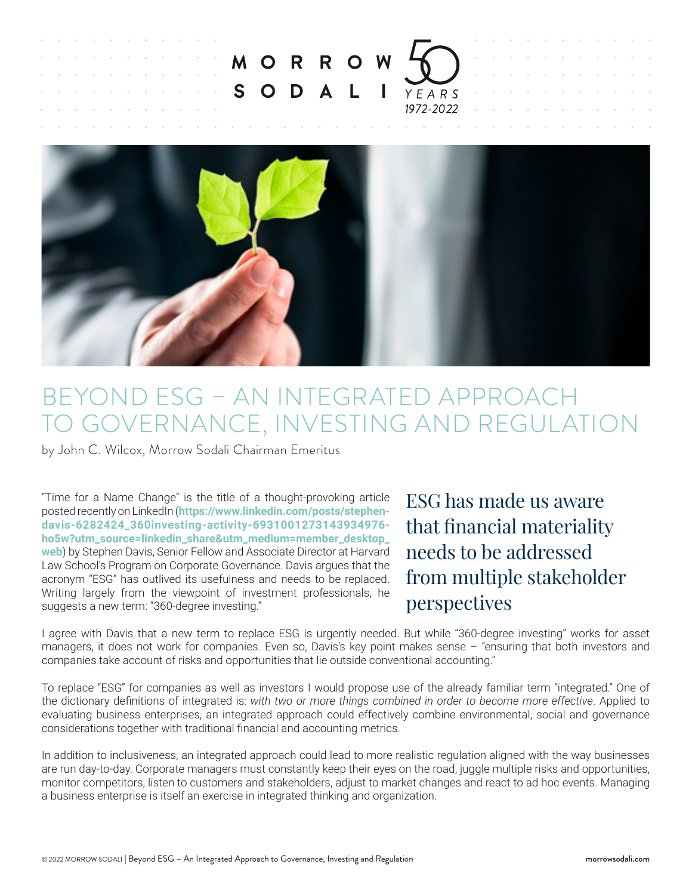

## BEYOND ESG – AN INTEGRATED APPROACH TO GOVERNANCE, INVESTING AND REGULATION

by John C. Wilcox, Morrow Sodali Chairman Emeritus

"Time for a Name Change" is the title of a thought-provoking article posted recently on LinkedIn (**[https://www.linkedin.com/posts/stephen](https://www.linkedin.com/posts/stephen-davis-6282424_360investing-activity-6931001273143934976-ho5w?utm_source=linkedin_share&utm_medium=member_desktop_web)[davis-6282424\\_360investing-activity-6931001273143934976](https://www.linkedin.com/posts/stephen-davis-6282424_360investing-activity-6931001273143934976-ho5w?utm_source=linkedin_share&utm_medium=member_desktop_web) [ho5w?utm\\_source=linkedin\\_share&utm\\_medium=member\\_desktop\\_](https://www.linkedin.com/posts/stephen-davis-6282424_360investing-activity-6931001273143934976-ho5w?utm_source=linkedin_share&utm_medium=member_desktop_web) [web](https://www.linkedin.com/posts/stephen-davis-6282424_360investing-activity-6931001273143934976-ho5w?utm_source=linkedin_share&utm_medium=member_desktop_web)**) by Stephen Davis, Senior Fellow and Associate Director at Harvard Law School's Program on Corporate Governance. Davis argues that the acronym "ESG" has outlived its usefulness and needs to be replaced. Writing largely from the viewpoint of investment professionals, he suggests a new term: "360-degree investing."

ESG has made us aware that financial materiality needs to be addressed from multiple stakeholder perspectives

I agree with Davis that a new term to replace ESG is urgently needed. But while "360-degree investing" works for asset managers, it does not work for companies. Even so, Davis's key point makes sense – "ensuring that both investors and companies take account of risks and opportunities that lie outside conventional accounting."

To replace "ESG" for companies as well as investors I would propose use of the already familiar term "integrated." One of the dictionary definitions of integrated is: *with two or more things combined in order to become more effective*. Applied to evaluating business enterprises, an integrated approach could effectively combine environmental, social and governance considerations together with traditional financial and accounting metrics.

In addition to inclusiveness, an integrated approach could lead to more realistic regulation aligned with the way businesses are run day-to-day. Corporate managers must constantly keep their eyes on the road, juggle multiple risks and opportunities, monitor competitors, listen to customers and stakeholders, adjust to market changes and react to ad hoc events. Managing a business enterprise is itself an exercise in integrated thinking and organization.